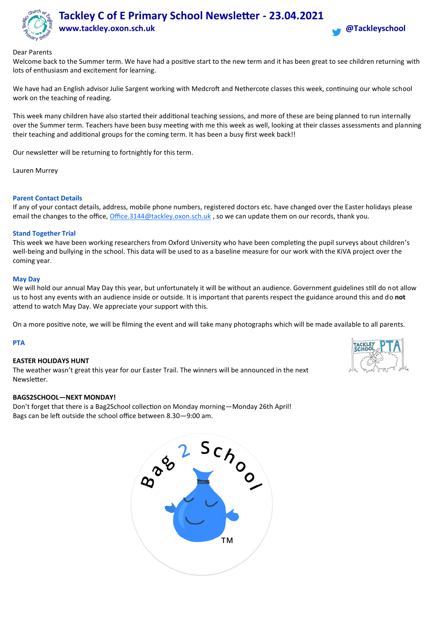

# **Tackley C of E Primary School Newsletter - 23.04.2021 www.tackley.oxon.sch.uk @Tackleyschool**



## Dear Parents

Welcome back to the Summer term. We have had a positive start to the new term and it has been great to see children returning with lots of enthusiasm and excitement for learning.

We have had an English advisor Julie Sargent working with Medcroft and Nethercote classes this week, continuing our whole school work on the teaching of reading.

This week many children have also started their additional teaching sessions, and more of these are being planned to run internally over the Summer term. Teachers have been busy meeting with me this week as well, looking at their classes assessments and planning their teaching and additional groups for the coming term. It has been a busy first week back!!

Our newsletter will be returning to fortnightly for this term.

Lauren Murrey

## **Parent Contact Details**

If any of your contact details, address, mobile phone numbers, registered doctors etc. have changed over the Easter holidays please email the changes to the office, [Office.3144@tackley.oxon.sch.uk](mailto:Office.3144@tackley.oxon.sch.uk), so we can update them on our records, thank you.

## **Stand Together Trial**

This week we have been working researchers from Oxford University who have been completing the pupil surveys about children's well-being and bullying in the school. This data will be used to as a baseline measure for our work with the KiVA project over the coming year.

#### **May Day**

We will hold our annual May Day this year, but unfortunately it will be without an audience. Government guidelines still do not allow us to host any events with an audience inside or outside. It is important that parents respect the guidance around this and do **not** attend to watch May Day. We appreciate your support with this.

On a more positive note, we will be filming the event and will take many photographs which will be made available to all parents.

## **PTA**

#### **EASTER HOLIDAYS HUNT**

The weather wasn't great this year for our Easter Trail. The winners will be announced in the next Newsletter.

#### **BAGS2SCHOOL—NEXT MONDAY!**

Don't forget that there is a Bag2School collection on Monday morning—Monday 26th April! Bags can be left outside the school office between 8.30—9:00 am.